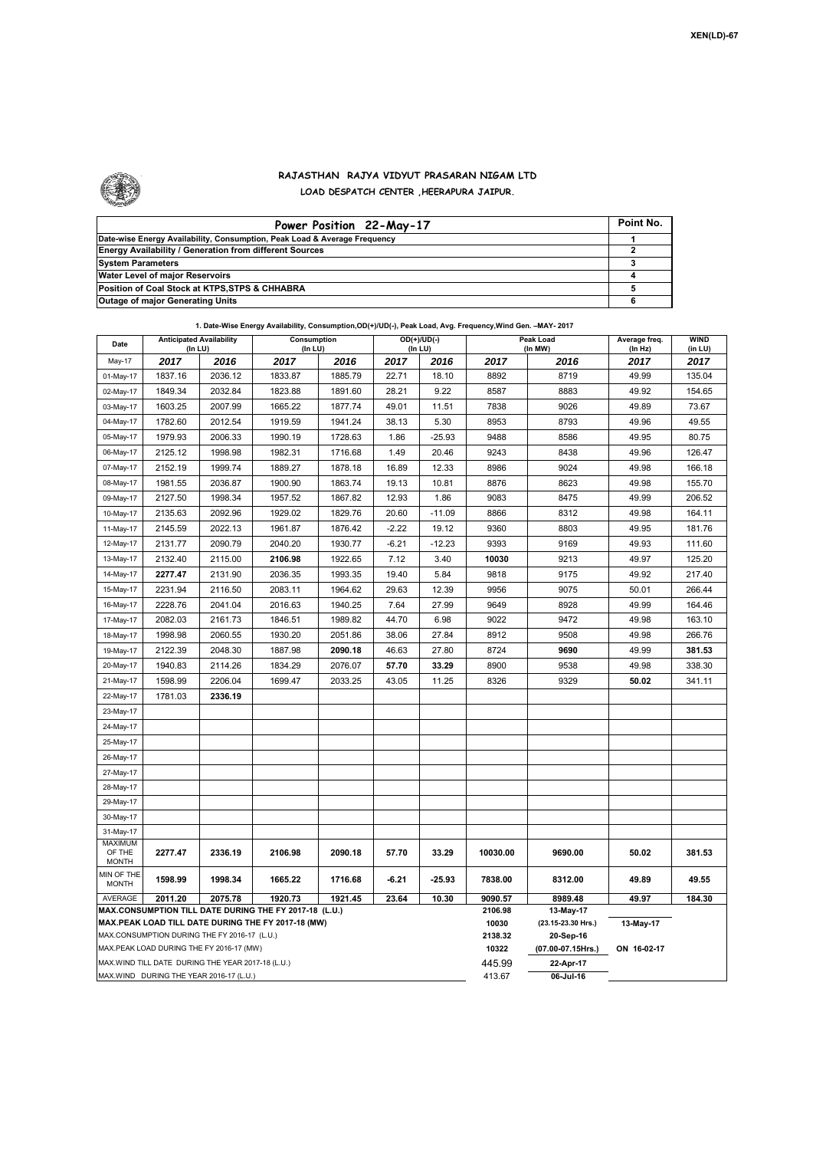

## **RAJASTHAN RAJYA VIDYUT PRASARAN NIGAM LTD LOAD DESPATCH CENTER ,HEERAPURA JAIPUR.**

| Power Position 22-May-17                                                  | Point No. |
|---------------------------------------------------------------------------|-----------|
| Date-wise Energy Availability, Consumption, Peak Load & Average Frequency |           |
| Energy Availability / Generation from different Sources                   |           |
| <b>System Parameters</b>                                                  |           |
| Water Level of major Reservoirs                                           |           |
| Position of Coal Stock at KTPS, STPS & CHHABRA                            |           |
| <b>Outage of major Generating Units</b>                                   |           |

|  | 1. Date-Wise Energy Availability, Consumption,OD(+)/UD(-), Peak Load, Avg. Frequency,Wind Gen. -MAY- 2017 |
|--|-----------------------------------------------------------------------------------------------------------|
|--|-----------------------------------------------------------------------------------------------------------|

| Date                                                                                               | <b>Anticipated Availability</b><br>(In LU) |         | Consumption<br>(In LU) |         |         | $OD(+)/UD(-)$<br>(In LU) |                  | Peak Load<br>(In MW)           | Average freq.<br>(ln Hz) | <b>WIND</b><br>(in LU) |  |  |
|----------------------------------------------------------------------------------------------------|--------------------------------------------|---------|------------------------|---------|---------|--------------------------|------------------|--------------------------------|--------------------------|------------------------|--|--|
| May-17                                                                                             | 2017                                       | 2016    | 2017                   | 2016    | 2017    | 2016                     | 2017             | 2016                           | 2017                     | 2017                   |  |  |
| 01-May-17                                                                                          | 1837.16                                    | 2036.12 | 1833.87                | 1885.79 | 22.71   | 18.10                    | 8892             | 8719                           | 49.99                    | 135.04                 |  |  |
| 02-May-17                                                                                          | 1849.34                                    | 2032.84 | 1823.88                | 1891.60 | 28.21   | 9.22                     | 8587             | 8883                           | 49.92                    | 154.65                 |  |  |
| 03-May-17                                                                                          | 1603.25                                    | 2007.99 | 1665.22                | 1877.74 | 49.01   | 11.51                    | 7838             | 9026                           | 49.89                    | 73.67                  |  |  |
| 04-May-17                                                                                          | 1782.60                                    | 2012.54 | 1919.59                | 1941.24 | 38.13   | 5.30                     | 8953             | 8793                           | 49.96                    | 49.55                  |  |  |
| 05-May-17                                                                                          | 1979.93                                    | 2006.33 | 1990.19                | 1728.63 | 1.86    | $-25.93$                 | 9488             | 8586                           | 49.95                    | 80.75                  |  |  |
| 06-May-17                                                                                          | 2125.12                                    | 1998.98 | 1982.31                | 1716.68 | 1.49    | 20.46                    | 9243             | 8438                           | 49.96                    | 126.47                 |  |  |
| 07-May-17                                                                                          | 2152.19                                    | 1999.74 | 1889.27                | 1878.18 | 16.89   | 12.33                    | 8986             | 9024                           | 49.98                    | 166.18                 |  |  |
| 08-May-17                                                                                          | 1981.55                                    | 2036.87 | 1900.90                | 1863.74 | 19.13   | 10.81                    | 8876             | 8623                           | 49.98                    | 155.70                 |  |  |
| 09-May-17                                                                                          | 2127.50                                    | 1998.34 | 1957.52                | 1867.82 | 12.93   | 1.86                     | 9083             | 8475                           | 49.99                    | 206.52                 |  |  |
| 10-May-17                                                                                          | 2135.63                                    | 2092.96 | 1929.02                | 1829.76 | 20.60   | $-11.09$                 | 8866             | 8312                           | 49.98                    | 164.11                 |  |  |
| 11-May-17                                                                                          | 2145.59                                    | 2022.13 | 1961.87                | 1876.42 | $-2.22$ | 19.12                    | 9360             | 8803                           | 49.95                    | 181.76                 |  |  |
| 12-May-17                                                                                          | 2131.77                                    | 2090.79 | 2040.20                | 1930.77 | $-6.21$ | $-12.23$                 | 9393             | 9169                           | 49.93                    | 111.60                 |  |  |
| 13-May-17                                                                                          | 2132.40                                    | 2115.00 | 2106.98                | 1922.65 | 7.12    | 3.40                     | 10030            | 9213                           | 49.97                    | 125.20                 |  |  |
| 14-May-17                                                                                          | 2277.47                                    | 2131.90 | 2036.35                | 1993.35 | 19.40   | 5.84                     | 9818             | 9175                           | 49.92                    | 217.40                 |  |  |
| 15-May-17                                                                                          | 2231.94                                    | 2116.50 | 2083.11                | 1964.62 | 29.63   | 12.39                    | 9956             | 9075                           | 50.01                    | 266.44                 |  |  |
| 16-May-17                                                                                          | 2228.76                                    | 2041.04 | 2016.63                | 1940.25 | 7.64    | 27.99                    | 9649             | 8928                           | 49.99                    | 164.46                 |  |  |
| 17-May-17                                                                                          | 2082.03                                    | 2161.73 | 1846.51                | 1989.82 | 44.70   | 6.98                     | 9022             | 9472                           | 49.98                    | 163.10                 |  |  |
| 18-May-17                                                                                          | 1998.98                                    | 2060.55 | 1930.20                | 2051.86 | 38.06   | 27.84                    | 8912             | 9508                           | 49.98                    | 266.76                 |  |  |
| 19-May-17                                                                                          | 2122.39                                    | 2048.30 | 1887.98                | 2090.18 | 46.63   | 27.80                    | 8724             | 9690                           | 49.99                    | 381.53                 |  |  |
| 20-May-17                                                                                          | 1940.83                                    | 2114.26 | 1834.29                | 2076.07 | 57.70   | 33.29                    | 8900             | 9538                           | 49.98                    | 338.30                 |  |  |
| 21-May-17                                                                                          | 1598.99                                    | 2206.04 | 1699.47                | 2033.25 | 43.05   | 11.25                    | 8326             | 9329                           | 50.02                    | 341.11                 |  |  |
| 22-May-17                                                                                          | 1781.03                                    | 2336.19 |                        |         |         |                          |                  |                                |                          |                        |  |  |
| 23-May-17                                                                                          |                                            |         |                        |         |         |                          |                  |                                |                          |                        |  |  |
| 24-May-17                                                                                          |                                            |         |                        |         |         |                          |                  |                                |                          |                        |  |  |
| 25-May-17                                                                                          |                                            |         |                        |         |         |                          |                  |                                |                          |                        |  |  |
| 26-May-17                                                                                          |                                            |         |                        |         |         |                          |                  |                                |                          |                        |  |  |
| 27-May-17                                                                                          |                                            |         |                        |         |         |                          |                  |                                |                          |                        |  |  |
| 28-May-17                                                                                          |                                            |         |                        |         |         |                          |                  |                                |                          |                        |  |  |
| 29-May-17                                                                                          |                                            |         |                        |         |         |                          |                  |                                |                          |                        |  |  |
| 30-May-17                                                                                          |                                            |         |                        |         |         |                          |                  |                                |                          |                        |  |  |
| 31-May-17                                                                                          |                                            |         |                        |         |         |                          |                  |                                |                          |                        |  |  |
| <b>MAXIMUM</b><br>OF THE<br><b>MONTH</b>                                                           | 2277.47                                    | 2336.19 | 2106.98                | 2090.18 | 57.70   | 33.29                    | 10030.00         | 9690.00                        | 50.02                    | 381.53                 |  |  |
| MIN OF THE<br><b>MONTH</b>                                                                         | 1598.99                                    | 1998.34 | 1665.22                | 1716.68 | $-6.21$ | $-25.93$                 | 7838.00          | 8312.00                        | 49.89                    | 49.55                  |  |  |
| AVERAGE                                                                                            | 2011.20                                    | 2075.78 | 1920.73                | 1921.45 | 23.64   | 10.30                    | 9090.57          | 8989.48                        | 49.97                    | 184.30                 |  |  |
| MAX.CONSUMPTION TILL DATE DURING THE FY 2017-18 (L.U.)                                             |                                            |         |                        |         |         |                          | 2106.98          | 13-May-17                      |                          |                        |  |  |
| MAX.PEAK LOAD TILL DATE DURING THE FY 2017-18 (MW)<br>MAX.CONSUMPTION DURING THE FY 2016-17 (L.U.) |                                            |         |                        |         |         |                          | 10030            | (23.15-23.30 Hrs.)             | 13-May-17                |                        |  |  |
|                                                                                                    | MAX.PEAK LOAD DURING THE FY 2016-17 (MW)   |         |                        |         |         |                          | 2138.32<br>10322 | 20-Sep-16<br>(07.00-07.15Hrs.) | ON 16-02-17              |                        |  |  |
|                                                                                                    |                                            |         |                        |         |         |                          | 445.99           | 22-Apr-17                      |                          |                        |  |  |
| MAX.WIND TILL DATE DURING THE YEAR 2017-18 (L.U.)<br>MAX.WIND DURING THE YEAR 2016-17 (L.U.)       |                                            |         |                        |         |         |                          |                  | 06-Jul-16                      |                          |                        |  |  |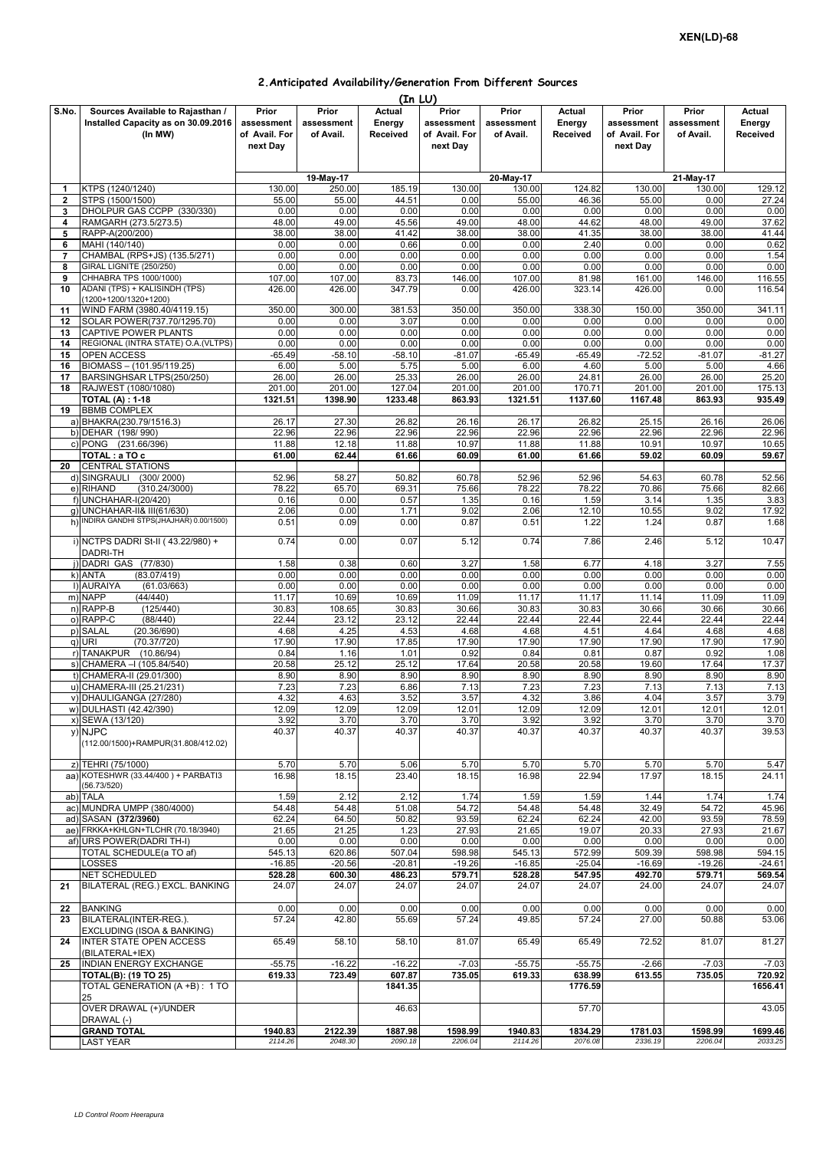## **2.Anticipated Availability/Generation From Different Sources**

|                |                                        |               |            | (In LU)  |               |            |          |               |              |          |
|----------------|----------------------------------------|---------------|------------|----------|---------------|------------|----------|---------------|--------------|----------|
| S.No.          | Sources Available to Rajasthan /       | Prior         | Prior      | Actual   | Prior         | Prior      | Actual   | Prior         | Prior        | Actual   |
|                | Installed Capacity as on 30.09.2016    | assessment    | assessment | Energy   | assessment    | assessment | Energy   | assessment    | assessment   | Energy   |
|                | (In MW)                                | of Avail. For | of Avail.  | Received | of Avail. For | of Avail.  | Received | of Avail. For | of Avail.    | Received |
|                |                                        | next Day      |            |          | next Day      |            |          | next Day      |              |          |
|                |                                        |               |            |          |               |            |          |               |              |          |
|                |                                        |               |            |          |               |            |          |               |              |          |
|                |                                        |               | 19-May-17  |          |               | 20-May-17  |          |               | $21$ -May-17 |          |
| 1              | KTPS (1240/1240)                       | 130.00        | 250.00     | 185.19   | 130.00        | 130.00     | 124.82   | 130.00        | 130.00       | 129.12   |
| $\overline{2}$ | STPS (1500/1500)                       | 55.00         | 55.00      | 44.51    | 0.00          | 55.00      | 46.36    | 55.00         | 0.00         | 27.24    |
| 3              | DHOLPUR GAS CCPP (330/330)             | 0.00          | 0.00       | 0.00     | 0.00          | 0.00       | 0.00     | 0.00          | 0.00         | 0.00     |
| 4              | RAMGARH (273.5/273.5)                  | 48.00         | 49.00      | 45.56    | 49.00         | 48.00      | 44.62    | 48.00         | 49.00        | 37.62    |
| 5              | RAPP-A(200/200)                        | 38.00         | 38.00      | 41.42    | 38.00         | 38.00      | 41.35    | 38.00         | 38.00        | 41.44    |
| 6              | MAHI (140/140)                         | 0.00          | 0.00       | 0.66     | 0.00          | 0.00       | 2.40     | 0.00          | 0.00         | 0.62     |
| 7              | CHAMBAL (RPS+JS) (135.5/271)           | 0.00          | 0.00       | 0.00     | 0.00          | 0.00       | 0.00     | 0.00          | 0.00         | 1.54     |
| 8              | GIRAL LIGNITE (250/250)                | 0.00          | 0.00       | 0.00     | 0.00          | 0.00       | 0.00     | 0.00          | 0.00         | 0.00     |
| 9              | CHHABRA TPS 1000/1000)                 | 107.00        | 107.00     | 83.73    | 146.00        | 107.00     | 81.98    | 161.00        | 146.00       | 116.55   |
| 10             | ADANI (TPS) + KALISINDH (TPS)          | 426.00        | 426.00     | 347.79   | 0.00          | 426.00     | 323.14   | 426.00        | 0.00         | 116.54   |
|                | (1200+1200/1320+1200)                  |               |            |          |               |            |          |               |              |          |
| 11             | WIND FARM (3980.40/4119.15)            | 350.00        | 300.00     | 381.53   | 350.00        | 350.00     | 338.30   | 150.00        | 350.00       | 341.11   |
| 12             | SOLAR POWER(737.70/1295.70)            | 0.00          | 0.00       | 3.07     | 0.00          | 0.00       | 0.00     | 0.00          | 0.00         | 0.00     |
|                |                                        |               |            |          |               |            |          |               |              |          |
| 13             | CAPTIVE POWER PLANTS                   | 0.00          | 0.00       | 0.00     | 0.00          | 0.00       | 0.00     | 0.00          | 0.00         | 0.00     |
| 14             | REGIONAL (INTRA STATE) O.A. (VLTPS)    | 0.00          | 0.00       | 0.00     | 0.00          | 0.00       | 0.00     | 0.00          | 0.00         | 0.00     |
| 15             | OPEN ACCESS                            | $-65.49$      | $-58.10$   | $-58.10$ | $-81.07$      | $-65.49$   | $-65.49$ | $-72.52$      | $-81.07$     | $-81.27$ |
| 16             | BIOMASS - (101.95/119.25)              | 6.00          | 5.00       | 5.75     | 5.00          | 6.00       | 4.60     | 5.00          | 5.00         | 4.66     |
| 17             | BARSINGHSAR LTPS(250/250)              | 26.00         | 26.00      | 25.33    | 26.00         | 26.00      | 24.81    | 26.00         | 26.00        | 25.20    |
| 18             | RAJWEST (1080/1080)                    | 201.00        | 201.00     | 127.04   | 201.00        | 201.00     | 170.71   | 201.00        | 201.00       | 175.13   |
|                | <b>TOTAL (A): 1-18</b>                 | 1321.51       | 1398.90    | 1233.48  | 863.93        | 1321.51    | 1137.60  | 1167.48       | 863.93       | 935.49   |
| 19             | <b>BBMB COMPLEX</b>                    |               |            |          |               |            |          |               |              |          |
|                | a) BHAKRA(230.79/1516.3)               | 26.17         | 27.30      | 26.82    | 26.16         | 26.17      | 26.82    | 25.15         | 26.16        | 26.06    |
|                | b) DEHAR (198/990)                     | 22.96         | 22.96      | 22.96    | 22.96         | 22.96      | 22.96    | 22.96         | 22.96        | 22.96    |
|                | c) PONG (231.66/396)                   | 11.88         | 12.18      | 11.88    | 10.97         | 11.88      | 11.88    | 10.91         | 10.97        | 10.65    |
|                | TOTAL : a TO c                         | 61.00         | 62.44      | 61.66    | 60.09         | 61.00      | 61.66    | 59.02         | 60.09        | 59.67    |
| 20             | <b>CENTRAL STATIONS</b>                |               |            |          |               |            |          |               |              |          |
|                | d) SINGRAULI<br>(300/2000)             | 52.96         | 58.27      | 50.82    | 60.78         | 52.96      | 52.96    | 54.63         | 60.78        | 52.56    |
|                | (310.24/3000)<br>e) RIHAND             | 78.22         | 65.70      | 69.31    | 75.66         | 78.22      | 78.22    | 70.86         | 75.66        | 82.66    |
|                | f) UNCHAHAR-I(20/420)                  | 0.16          | 0.00       | 0.57     | 1.35          | 0.16       | 1.59     | 3.14          | 1.35         | 3.83     |
| g)             | UNCHAHAR-II& III(61/630)               | 2.06          | 0.00       | 1.71     | 9.02          | 2.06       | 12.10    | 10.55         | 9.02         | 17.92    |
| h)             | INDIRA GANDHI STPS(JHAJHAR) 0.00/1500) | 0.51          | 0.09       | 0.00     | 0.87          | 0.51       | 1.22     | 1.24          | 0.87         | 1.68     |
|                |                                        |               |            |          |               |            |          |               |              |          |
|                | i) NCTPS DADRI St-II (43.22/980) +     | 0.74          | 0.00       | 0.07     | 5.12          | 0.74       | 7.86     | 2.46          | 5.12         | 10.47    |
|                | DADRI-TH                               |               |            |          |               |            |          |               |              |          |
| i١             | DADRI GAS (77/830)                     | 1.58          | 0.38       | 0.60     | 3.27          | 1.58       | 6.77     | 4.18          | 3.27         | 7.55     |
|                | (83.07/419)<br>k) ANTA                 | 0.00          | 0.00       | 0.00     | 0.00          | 0.00       | 0.00     | 0.00          | 0.00         | 0.00     |
|                | (61.03/663)<br>I) AURAIYA              | 0.00          | 0.00       | 0.00     | 0.00          | 0.00       | 0.00     | 0.00          | 0.00         | 0.00     |
|                | m) NAPP<br>(44/440)                    | 11.17         | 10.69      | 10.69    | 11.09         | 11.17      | 11.17    | 11.14         | 11.09        | 11.09    |
|                | n) RAPP-B<br>(125/440)                 | 30.83         |            | 30.83    | 30.66         | 30.83      | 30.83    | 30.66         | 30.66        | 30.66    |
|                |                                        |               | 108.65     |          |               |            |          |               |              |          |
|                | o) RAPP-C<br>(88/440)                  | 22.44         | 23.12      | 23.12    | 22.44         | 22.44      | 22.44    | 22.44         | 22.44        | 22.44    |
| p)             | <b>SALAL</b><br>(20.36/690)            | 4.68          | 4.25       | 4.53     | 4.68          | 4.68       | 4.51     | 4.64          | 4.68         | 4.68     |
|                | q) URI<br>(70.37/720)                  | 17.90         | 17.90      | 17.85    | 17.90         | 17.90      | 17.90    | 17.90         | 17.90        | 17.90    |
|                | r) TANAKPUR (10.86/94)                 | 0.84          | 1.16       | 1.01     | 0.92          | 0.84       | 0.81     | 0.87          | 0.92         | 1.08     |
|                | s) CHAMERA - (105.84/540)              | 20.58         | 25.12      | 25.12    | 17.64         | 20.58      | 20.58    | 19.60         | 17.64        | 17.37    |
| t)             | CHAMERA-II (29.01/300)                 | 8.90          | 8.90       | 8.90     | 8.90          | 8.90       | 8.90     | 8.90          | 8.90         | 8.90     |
|                | u) CHAMERA-III (25.21/231)             | 7.23          | 7.23       | 6.86     | 7.13          | 7.23       | 7.23     | 7.13          | 7.13         | 7.13     |
|                | v) DHAULIGANGA (27/280)                | 4.32          | 4.63       | 3.52     | 3.57          | 4.32       | 3.86     | 4.04          | 3.57         | 3.79     |
|                | w) DULHASTI (42.42/390)                | 12.09         | 12.09      | 12.09    | 12.01         | 12.09      | 12.09    | 12.01         | 12.01        | 12.01    |
|                | x) SEWA (13/120)                       | 3.92          | 3.70       | 3.70     | 3.70          | 3.92       | 3.92     | 3.70          | 3.70         | 3.70     |
|                | y) NJPC                                | 40.37         | 40.37      | 40.37    | 40.37         | 40.37      | 40.37    | 40.37         | 40.37        | 39.53    |
|                | (112.00/1500)+RAMPUR(31.808/412.02)    |               |            |          |               |            |          |               |              |          |
|                |                                        |               |            |          |               |            |          |               |              |          |
|                | z) TEHRI (75/1000)                     | 5.70          | 5.70       | 5.06     | 5.70          | 5.70       | 5.70     | 5.70          | 5.70         | 5.47     |
|                | aa) KOTESHWR (33.44/400) + PARBATI3    | 16.98         | 18.15      | 23.40    | 18.15         | 16.98      | 22.94    | 17.97         | 18.15        | 24.11    |
|                | (56.73/520)                            |               |            |          |               |            |          |               |              |          |
|                | ab) TALA                               | 1.59          | 2.12       | 2.12     | 1.74          | 1.59       | 1.59     | 1.44          | 1.74         | 1.74     |
|                | ac) MUNDRA UMPP (380/4000)             | 54.48         | 54.48      | 51.08    | 54.72         | 54.48      | 54.48    | 32.49         | 54.72        | 45.96    |
|                | ad) SASAN (372/3960)                   | 62.24         | 64.50      | 50.82    | 93.59         | 62.24      | 62.24    | 42.00         | 93.59        | 78.59    |
|                | ae) FRKKA+KHLGN+TLCHR (70.18/3940)     | 21.65         | 21.25      | 1.23     | 27.93         | 21.65      | 19.07    | 20.33         | 27.93        | 21.67    |
|                | af) URS POWER(DADRI TH-I)              | 0.00          | 0.00       | 0.00     | 0.00          | 0.00       | 0.00     | 0.00          | 0.00         | 0.00     |
|                | TOTAL SCHEDULE(a TO af)                | 545.13        | 620.86     | 507.04   | 598.98        | 545.13     | 572.99   | 509.39        | 598.98       | 594.15   |
|                | LOSSES                                 | $-16.85$      | $-20.56$   | $-20.81$ | $-19.26$      | $-16.85$   | $-25.04$ | $-16.69$      | $-19.26$     | $-24.61$ |
|                | NET SCHEDULED                          | 528.28        | 600.30     | 486.23   | 579.71        | 528.28     | 547.95   | 492.70        | 579.71       | 569.54   |
| 21             | BILATERAL (REG.) EXCL. BANKING         | 24.07         | 24.07      | 24.07    | 24.07         | 24.07      | 24.07    | 24.00         | 24.07        | 24.07    |
|                |                                        |               |            |          |               |            |          |               |              |          |
|                |                                        | 0.00          | 0.00       |          | 0.00          |            | 0.00     | 0.00          |              |          |
| 22             | <b>BANKING</b>                         |               |            | 0.00     |               | 0.00       |          |               | 0.00         | 0.00     |
| 23             | BILATERAL(INTER-REG.).                 | 57.24         | 42.80      | 55.69    | 57.24         | 49.85      | 57.24    | 27.00         | 50.88        | 53.06    |
|                | EXCLUDING (ISOA & BANKING)             |               |            |          |               |            |          |               |              |          |
| 24             | <b>INTER STATE OPEN ACCESS</b>         | 65.49         | 58.10      | 58.10    | 81.07         | 65.49      | 65.49    | 72.52         | 81.07        | 81.27    |
|                | (BILATERAL+IEX)                        |               |            |          |               |            |          |               |              |          |
| 25             | INDIAN ENERGY EXCHANGE                 | $-55.75$      | $-16.22$   | $-16.22$ | $-7.03$       | $-55.75$   | $-55.75$ | $-2.66$       | $-7.03$      | $-7.03$  |
|                | <b>TOTAL(B): (19 TO 25)</b>            | 619.33        | 723.49     | 607.87   | 735.05        | 619.33     | 638.99   | 613.55        | 735.05       | 720.92   |
|                | TOTAL GENERATION (A +B): 1 TO          |               |            | 1841.35  |               |            | 1776.59  |               |              | 1656.41  |
|                | 25                                     |               |            |          |               |            |          |               |              |          |
|                | OVER DRAWAL (+)/UNDER                  |               |            | 46.63    |               |            | 57.70    |               |              | 43.05    |
|                | DRAWAL (-)                             |               |            |          |               |            |          |               |              |          |
|                | <b>GRAND TOTAL</b>                     | 1940.83       | 2122.39    | 1887.98  | 1598.99       | 1940.83    | 1834.29  | 1781.03       | 1598.99      | 1699.46  |
|                | <b>LAST YEAR</b>                       | 2114.26       | 2048.30    | 2090.18  | 2206.04       | 2114.26    | 2076.08  | 2336.19       | 2206.04      | 2033.25  |